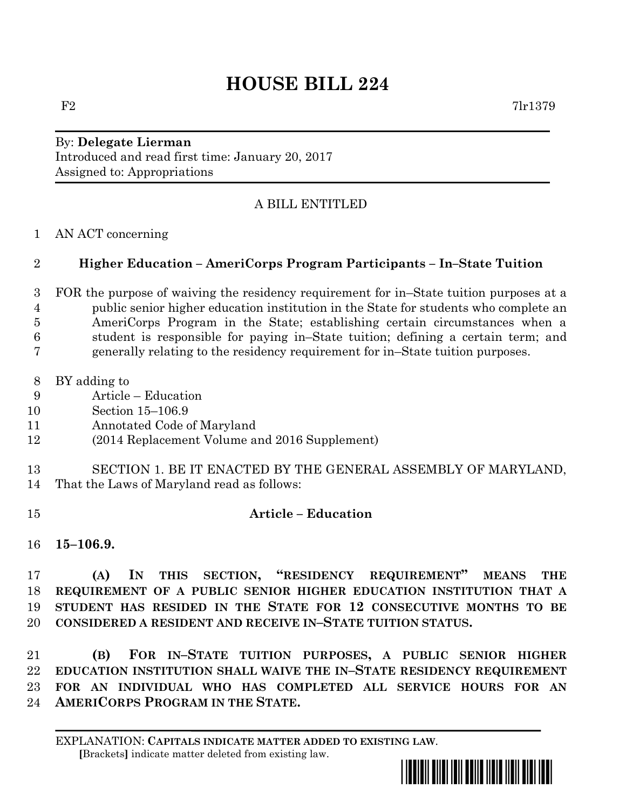## **HOUSE BILL 224**

By: **Delegate Lierman** Introduced and read first time: January 20, 2017 Assigned to: Appropriations

## A BILL ENTITLED

AN ACT concerning

## **Higher Education – AmeriCorps Program Participants – In–State Tuition**

 FOR the purpose of waiving the residency requirement for in–State tuition purposes at a public senior higher education institution in the State for students who complete an AmeriCorps Program in the State; establishing certain circumstances when a student is responsible for paying in–State tuition; defining a certain term; and generally relating to the residency requirement for in–State tuition purposes.

- BY adding to
- Article Education
- Section 15–106.9
- Annotated Code of Maryland
- (2014 Replacement Volume and 2016 Supplement)
- SECTION 1. BE IT ENACTED BY THE GENERAL ASSEMBLY OF MARYLAND, That the Laws of Maryland read as follows:
- 

## **Article – Education**

**15–106.9.**

 **(A) IN THIS SECTION, "RESIDENCY REQUIREMENT" MEANS THE REQUIREMENT OF A PUBLIC SENIOR HIGHER EDUCATION INSTITUTION THAT A STUDENT HAS RESIDED IN THE STATE FOR 12 CONSECUTIVE MONTHS TO BE CONSIDERED A RESIDENT AND RECEIVE IN–STATE TUITION STATUS.**

 **(B) FOR IN–STATE TUITION PURPOSES, A PUBLIC SENIOR HIGHER EDUCATION INSTITUTION SHALL WAIVE THE IN–STATE RESIDENCY REQUIREMENT FOR AN INDIVIDUAL WHO HAS COMPLETED ALL SERVICE HOURS FOR AN AMERICORPS PROGRAM IN THE STATE.**

EXPLANATION: **CAPITALS INDICATE MATTER ADDED TO EXISTING LAW**.  **[**Brackets**]** indicate matter deleted from existing law.